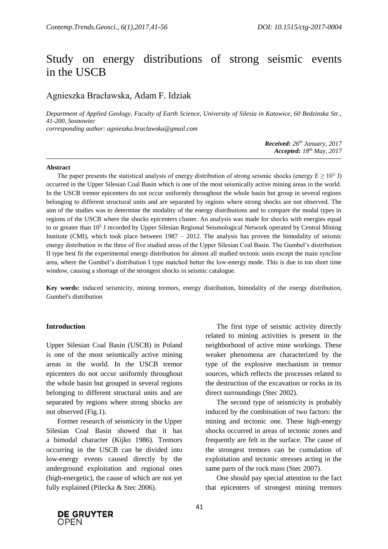# Study on energy distributions of strong seismic events in the USCB

# Agnieszka Bracławska, Adam F. Idziak

*Department of Applied Geology, Faculty of Earth Science, University of Silesia in Katowice, 60 Bedzinska Str., 41-200, Sosnowiec corresponding author: agnieszka.braclawska@gmail.com*

> *Received: 26th January, 2017 Accepted: 18 th May, 2017*

#### **Abstract**

The paper presents the statistical analysis of energy distribution of strong seismic shocks (energy  $E \ge 10^5$  J) occurred in the Upper Silesian Coal Basin which is one of the most seismically active mining areas in the world. In the USCB tremor epicenters do not occur uniformly throughout the whole basin but group in several regions belonging to different structural units and are separated by regions where strong shocks are not observed. The aim of the studies was to determine the modality of the energy distributions and to compare the modal types in regions of the USCB where the shocks epicenters cluster. An analysis was made for shocks with energies equal to or greater than 10<sup>5</sup> J recorded by Upper Silesian Regional Seismological Network operated by Central Mining Institute (CMI), which took place between 1987 – 2012. The analysis has proven the bimodality of seismic energy distribution in the three of five studied areas of the Upper Silesian Coal Basin. The Gumbel's distribution II type best fit the experimental energy distribution for almost all studied tectonic units except the main syncline area, where the Gumbel's distribution I type matched better the low-energy mode. This is due to too short time window, causing a shortage of the strongest shocks in seismic catalogue.

**Key words:** induced seismicity, mining tremors, energy distribution, bimodality of the energy distribution, Gumbel's distribution

#### **Introduction**

Upper Silesian Coal Basin (USCB) in Poland is one of the most seismically active mining areas in the world. In the USCB tremor epicenters do not occur uniformly throughout the whole basin but grouped in several regions belonging to different structural units and are separated by regions where strong shocks are not observed (Fig.1).

Former research of seismicity in the Upper Silesian Coal Basin showed that it has a bimodal character (Kijko 1986). Tremors occurring in the USCB can be divided into low-energy events caused directly by the underground exploitation and regional ones (high-energetic), the cause of which are not yet fully explained (Pilecka & Stec 2006).

The first type of seismic activity directly related to mining activities is present in the neighborhood of active mine workings. These weaker phenomena are characterized by the type of the explosive mechanism in tremor sources, which reflects the processes related to the destruction of the excavation or rocks in its direct surroundings (Stec 2002).

The second type of seismicity is probably induced by the combination of two factors: the mining and tectonic one. These high-energy shocks occurred in areas of tectonic zones and frequently are felt in the surface. The cause of the strongest tremors can be cumulation of exploitation and tectonic stresses acting in the same parts of the rock mass (Stec 2007).

One should pay special attention to the fact that epicenters of strongest mining tremors

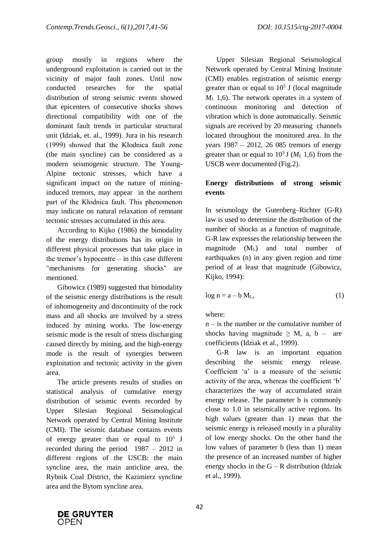group mostly in regions where the underground exploitation is carried out in the vicinity of major fault zones. Until now conducted researches for the spatial distribution of strong seismic events showed that epicenters of consecutive shocks shows directional compatibility with one of the dominant fault trends in particular structural unit (Idziak, et. al., 1999). Jura in his research (1999) showed that the Kłodnica fault zone (the main syncline) can be considered as a modern seismogenic structure. The Young-Alpine tectonic stresses, which have a significant impact on the nature of mininginduced tremors, may appear in the northern part of the Kłodnica fault. This phenomenon may indicate on natural relaxation of remnant tectonic stresses accumulated in this area.

According to Kijko (1986) the bimodality of the energy distributions has its origin in different physical processes that take place in the tremor's hypocentre – in this case different "mechanisms for generating shocks" are mentioned.

Gibowicz (1989) suggested that bimodality of the seismic energy distributions is the result of inhomogeneity and discontinuity of the rock mass and all shocks are involved by a stress induced by mining works. The low-energy seismic mode is the result of stress discharging caused directly by mining, and the high-energy mode is the result of synergies between exploitation and tectonic activity in the given area.

The article presents results of studies on statistical analysis of cumulative energy distribution of seismic events recorded by Upper Silesian Regional Seismological Network operated by Central Mining Institute (CMI). The seismic database contains events of energy greater than or equal to  $10^5$  J recorded during the period 1987 – 2012 in different regions of the USCB: the main syncline area, the main anticline area, the Rybnik Coal District, the Kazimierz syncline area and the Bytom syncline area.

Upper Silesian Regional Seismological Network operated by Central Mining Institute (CMI) enables registration of seismic energy greater than or equal to  $10<sup>5</sup>$  J (local magnitude *M*<sup>L</sup> 1,6). The network operates in a system of continuous monitoring and detection of vibration which is done automatically. Seismic signals are received by 20 measuring channels located throughout the monitored area. In the years 1987 – 2012, 26 085 tremors of energy greater than or equal to  $10^5$  J ( $M_L$  1,6) from the USCB were documented (Fig.2).

# **Energy distributions of strong seismic events**

In seismology the Gutenberg–Richter (G-R) law is used to determine the distribution of the number of shocks as a function of magnitude. G-R law expresses the relationship between the magnitude  $(M<sub>L</sub>)$  and total number of earthquakes (n) in any given region and time period of at least that magnitude (Gibowicz, Kijko, 1994):

$$
\log n = a - b M_L, \tag{1}
$$

where:

n – is the number or the cumulative number of shocks having magnitude  $\geq M$ , a, b – are coefficients (Idziak et al., 1999).

G-R law is an important equation describing the seismic energy release. Coefficient 'a' is a measure of the seismic activity of the area, whereas the coefficient 'b' characterizes the way of accumulated strain energy release. The parameter b is commonly close to 1.0 in seismically active regions. Its high values (greater than 1) mean that the seismic energy is released mostly in a plurality of low energy shocks. On the other hand the low values of parameter b (less than 1) mean the presence of an increased number of higher energy shocks in the  $G - R$  distribution (Idziak et al., 1999).

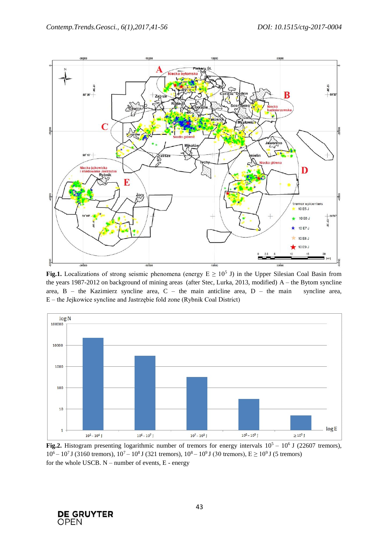

**Fig.1.** Localizations of strong seismic phenomena (energy  $E \ge 10^5$  J) in the Upper Silesian Coal Basin from the years 1987-2012 on background of mining areas (after Stec, Lurka, 2013, modified) A – the Bytom syncline area, B – the Kazimierz syncline area, C – the main anticline area, D – the main syncline area, E – the Jejkowice syncline and Jastrzębie fold zone (Rybnik Coal District)



**Fig.2.** Histogram presenting logarithmic number of tremors for energy intervals  $10^5 - 10^6$  J (22607 tremors),  $10^6 - 10^7$  J (3160 tremors),  $10^7 - 10^8$  J (321 tremors),  $10^8 - 10^9$  J (30 tremors),  $E \ge 10^9$  J (5 tremors) for the whole USCB. N – number of events, E - energy

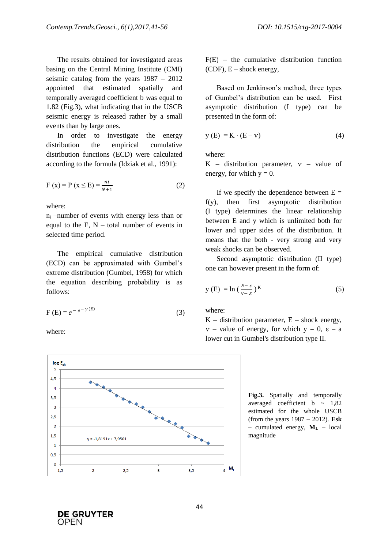The results obtained for investigated areas basing on the Central Mining Institute (CMI) seismic catalog from the years 1987 – 2012 appointed that estimated spatially and temporally averaged coefficient b was equal to 1.82 (Fig.3), what indicating that in the USCB seismic energy is released rather by a small events than by large ones.

In order to investigate the energy distribution the empirical cumulative distribution functions (ECD) were calculated according to the formula (Idziak et al., 1991):

$$
F(x) = P(x \le E) = \frac{ni}{N+1}
$$
 (2)

where:

 $n_i$  –number of events with energy less than or equal to the E,  $N -$  total number of events in selected time period.

The empirical cumulative distribution (ECD) can be approximated with Gumbel's extreme distribution (Gumbel, 1958) for which the equation describing probability is as follows:

$$
F(E) = e^{-e^{-y(E)}} \tag{3}
$$

where:



 $F(E)$  – the cumulative distribution function  $(CDF)$ ,  $E$  – shock energy,

Based on Jenkinson's method, three types of Gumbel's distribution can be used. First asymptotic distribution (I type) can be presented in the form of:

$$
y(E) = K \cdot (E - v) \tag{4}
$$

where:

K – distribution parameter,  $v$  – value of energy, for which  $y = 0$ .

If we specify the dependence between  $E =$ f(y), then first asymptotic distribution (I type) determines the linear relationship between E and y which is unlimited both for lower and upper sides of the distribution. It means that the both - very strong and very weak shocks can be observed.

Second asymptotic distribution (II type) one can however present in the form of:

$$
y(E) = \ln\left(\frac{E - \varepsilon}{v - \varepsilon}\right)^{K}
$$
 (5)

where:

 $K$  – distribution parameter,  $E$  – shock energy,  $v -$  value of energy, for which  $y = 0$ ,  $\varepsilon - a$ lower cut in Gumbel's distribution type II.

**Fig.3.** Spatially and temporally averaged coefficient  $b \sim 1,82$ estimated for the whole USCB (from the years 1987 – 2012). **Esk** – cumulated energy, **M<sup>L</sup>** – local magnitude

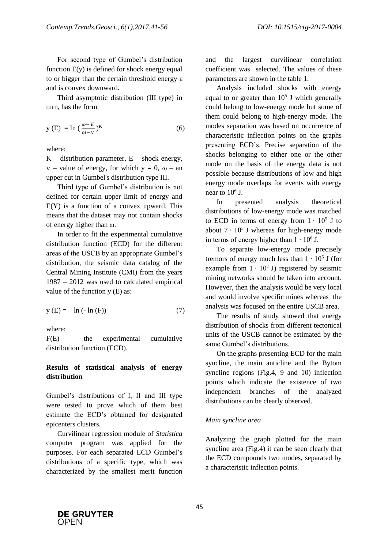For second type of Gumbel's distribution function  $E(y)$  is defined for shock energy equal to or bigger than the certain threshold energy ε and is convex downward.

Third asymptotic distribution (III type) in turn, has the form:

$$
y(E) = \ln\left(\frac{\omega - E}{\omega - v}\right)^{K}
$$
 (6)

where:

 $K$  – distribution parameter,  $E$  – shock energy,  $v -$  value of energy, for which  $y = 0$ ,  $\omega -$  an upper cut in Gumbel's distribution type III.

Third type of Gumbel's distribution is not defined for certain upper limit of energy and  $E(Y)$  is a function of a convex upward. This means that the dataset may not contain shocks of energy higher than ω.

In order to fit the experimental cumulative distribution function (ECD) for the different areas of the USCB by an appropriate Gumbel's distribution, the seismic data catalog of the Central Mining Institute (CMI) from the years 1987 – 2012 was used to calculated empirical value of the function  $y(E)$  as:

$$
y(E) = -\ln(-\ln(F))
$$
 (7)

where:

F(E) – the experimental cumulative distribution function (ECD).

## **Results of statistical analysis of energy distribution**

Gumbel's distributions of I, II and III type were tested to prove which of them best estimate the ECD's obtained for designated epicenters clusters.

Curvilinear regression module of *Statistica*  computer program was applied for the purposes. For each separated ECD Gumbel's distributions of a specific type, which was characterized by the smallest merit function

and the largest curvilinear correlation coefficient was selected. The values of these parameters are shown in the table 1.

Analysis included shocks with energy equal to or greater than  $10<sup>5</sup>$  J which generally could belong to low-energy mode but some of them could belong to high-energy mode. The modes separation was based on occurrence of characteristic inflection points on the graphs presenting ECD's. Precise separation of the shocks belonging to either one or the other mode on the basis of the energy data is not possible because distributions of low and high energy mode overlaps for events with energy near to  $10^6$  J.

In presented analysis theoretical distributions of low-energy mode was matched to ECD in terms of energy from  $1 \cdot 10^5$  J to about  $7 \cdot 10^5$  J whereas for high-energy mode in terms of energy higher than  $1 \cdot 10^6$  J.

To separate low-energy mode precisely tremors of energy much less than  $1 \cdot 10^5$  J (for example from  $1 \cdot 10^2$  J) registered by seismic mining networks should be taken into account. However, then the analysis would be very local and would involve specific mines whereas the analysis was focused on the entire USCB area.

The results of study showed that energy distribution of shocks from different tectonical units of the USCB cannot be estimated by the same Gumbel's distributions.

On the graphs presenting ECD for the main syncline, the main anticline and the Bytom syncline regions (Fig.4, 9 and 10) inflection points which indicate the existence of two independent branches of the analyzed distributions can be clearly observed.

## *Main syncline area*

Analyzing the graph plotted for the main syncline area (Fig.4) it can be seen clearly that the ECD compounds two modes, separated by a characteristic inflection points.

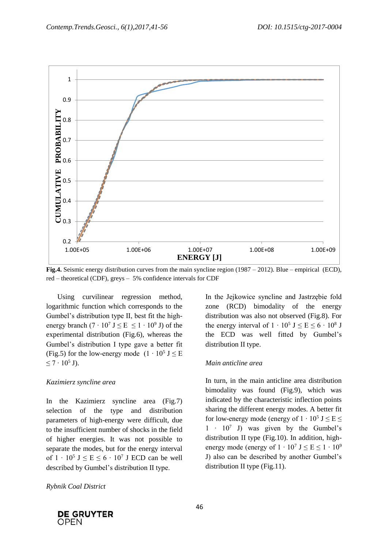

**Fig.4.** Seismic energy distribution curves from the main syncline region (1987 – 2012). Blue – empirical (ECD), red – theoretical (CDF), greys – 5% confidence intervals for CDF

Using curvilinear regression method, logarithmic function which corresponds to the Gumbel's distribution type II, best fit the highenergy branch  $(7 \cdot 10^7 \text{ J} \leq E \leq 1 \cdot 10^9 \text{ J})$  of the experimental distribution (Fig.6), whereas the Gumbel's distribution I type gave a better fit (Fig.5) for the low-energy mode  $(1 \cdot 10^5 \text{ J} \leq E)$  $≤ 7 ⋅ 10<sup>5</sup>$  J).

## *Kazimierz syncline area*

In the Kazimierz syncline area (Fig.7) selection of the type and distribution parameters of high-energy were difficult, due to the insufficient number of shocks in the field of higher energies. It was not possible to separate the modes, but for the energy interval of  $1 \cdot 10^5$  J  $\le E \le 6 \cdot 10^7$  J ECD can be well described by Gumbel's distribution II type.

*Rybnik Coal District*

In the Jejkowice syncline and Jastrzębie fold zone (RCD) bimodality of the energy distribution was also not observed (Fig.8). For the energy interval of  $1 \cdot 10^5$  J  $\le E \le 6 \cdot 10^8$  J the ECD was well fitted by Gumbel's distribution II type.

## *Main anticline area*

In turn, in the main anticline area distribution bimodality was found (Fig.9), which was indicated by the characteristic inflection points sharing the different energy modes. A better fit for low-energy mode (energy of  $1 \cdot 10^5$  J  $\le E \le$ 1 ∙ 10<sup>7</sup> J) was given by the Gumbel's distribution II type (Fig.10). In addition, highenergy mode (energy of  $1 \cdot 10^7$  J  $\le E \le 1 \cdot 10^9$ J) also can be described by another Gumbel's distribution II type (Fig.11).

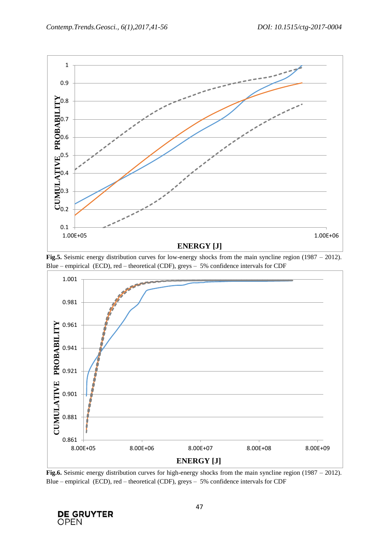





**Fig.6.** Seismic energy distribution curves for high-energy shocks from the main syncline region (1987 – 2012). Blue – empirical (ECD), red – theoretical (CDF), greys – 5% confidence intervals for CDF

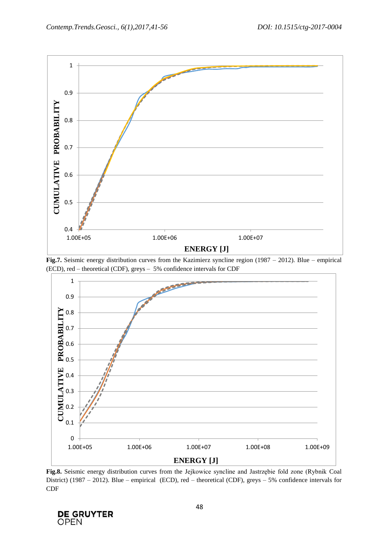





**Fig.8.** Seismic energy distribution curves from the Jejkowice syncline and Jastrzębie fold zone (Rybnik Coal District) (1987 – 2012). Blue – empirical (ECD), red – theoretical (CDF), greys – 5% confidence intervals for CDF

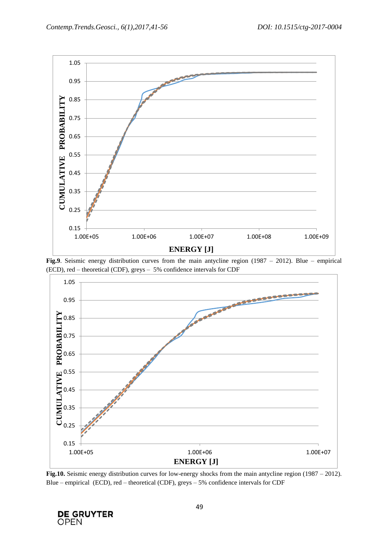

**Fig.9**. Seismic energy distribution curves from the main antycline region (1987 – 2012). Blue – empirical (ECD), red – theoretical (CDF), greys – 5% confidence intervals for CDF



**Fig.10.** Seismic energy distribution curves for low-energy shocks from the main antycline region (1987 – 2012). Blue – empirical (ECD), red – theoretical (CDF), greys – 5% confidence intervals for CDF

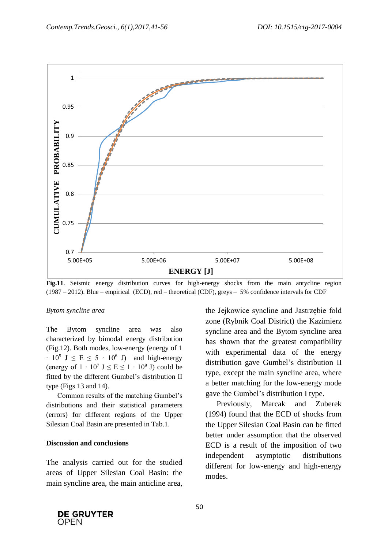

**Fig.11**. Seismic energy distribution curves for high-energy shocks from the main antycline region (1987 – 2012). Blue – empirical (ECD), red – theoretical (CDF), greys – 5% confidence intervals for CDF

#### *Bytom syncline area*

The Bytom syncline area was also characterized by bimodal energy distribution (Fig.12). Both modes, low-energy (energy of 1  $\cdot$  10<sup>5</sup> J  $\leq$  E  $\leq$  5  $\cdot$  10<sup>6</sup> J) and high-energy (energy of  $1 \cdot 10^7$  J  $\le E \le 1 \cdot 10^9$  J) could be fitted by the different Gumbel's distribution II type (Figs 13 and 14).

Common results of the matching Gumbel's distributions and their statistical parameters (errors) for different regions of the Upper Silesian Coal Basin are presented in Tab.1.

#### **Discussion and conclusions**

The analysis carried out for the studied areas of Upper Silesian Coal Basin: the main syncline area, the main anticline area, the Jejkowice syncline and Jastrzębie fold zone (Rybnik Coal District) the Kazimierz syncline area and the Bytom syncline area has shown that the greatest compatibility with experimental data of the energy distribution gave Gumbel's distribution II type, except the main syncline area, where a better matching for the low-energy mode gave the Gumbel's distribution I type.

Previously, Marcak and Zuberek (1994) found that the ECD of shocks from the Upper Silesian Coal Basin can be fitted better under assumption that the observed ECD is a result of the imposition of two independent asymptotic distributions different for low-energy and high-energy modes.

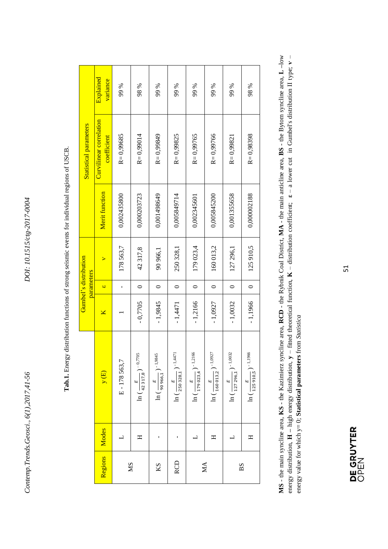*Contemp.Trends.Geosci., 6(1),2017,41-56 DOI: 10.1515/ctg-2017-0004* Contemp. Trends. Geosci., 6(1), 2017, 41-56

| Regions    | Modes                    | y(E)                                                               | ⊠         | parameters<br>$\omega$ | Gumbel's distribution<br>× | Merit function | Curvilinear correlation<br><b>Statistical parameters</b> | Explained        |
|------------|--------------------------|--------------------------------------------------------------------|-----------|------------------------|----------------------------|----------------|----------------------------------------------------------|------------------|
|            | $\overline{a}$           | E-178563,7                                                         |           | f,                     | 178563,7                   | 0,002435800    | R=0,99685<br>coefficient                                 | variance<br>99 % |
| <b>NS</b>  | Η                        | $\lambda - 0.7705$<br>$(\frac{E}{42\,317,8})$<br>$\widetilde{\Xi}$ | $-0,7705$ | $\circ$                | 42317,8                    | 0,000203723    | $R = 0,99014$                                            | 98 %             |
| KS         |                          | 1,9845<br>$\ln(\frac{E}{90\,966,1})$                               | $-1,9845$ | $\circ$                | 90 966,1                   | 0,001498649    | R=0,99849                                                | 99 %             |
| <b>RCD</b> |                          | $-1,4471$<br>$\ln\big(\frac{E}{250\,328,1}\big)$                   | $-1,4471$ | $\circ$                | 250 328,1                  | 0,005849714    | $R = 0,99825$                                            | 99 %             |
|            | $\overline{\phantom{0}}$ | $-1,2166$<br>$\ln(\frac{E}{179023,4})$                             | $-1,2166$ | $\circ$                | 179 023,4                  | 0,002345601    | R=0,99765                                                | 99 %             |
| MA         | Η                        | 1.0927<br>$\ln{(\frac{E}{160\,013,2})}$                            | $-1,0927$ | $\circ$                | 160 013,2                  | 0,005845200    | $R = 0,99766$                                            | 99 %             |
|            | $\mathbf{r}$             | In ( $\frac{E}{127\,296,1}$ ) $^{-1,0032}$                         | $-1,0032$ | $\circ$                | 127 296,1                  | 0,001355658    | R= 0,99821                                               | 99 %             |
| BS         | H                        | 1.1966<br>$(\frac{E}{125\,910,5})$<br>$\breve{H}$                  | $-1,1966$ | $\circ$                | 125910,5                   | 0,000002188    | R=0,98398                                                | 98 %             |

Tab.1. Energy distribution functions of strong seismic events for individual regions of USCB. **Tab.1.** Energy distribution functions of strong seismic events for individual regions of USCB.

MS - the main syncline area, KS - the Kazimierz syncline area, RCD - the Rybnik Coal District, MA - the main anticline area, BS - the Bytom syncline area, L-low energy distribution,  $H$  – high energy distribution,  $y$  – fitted theoretical function,  $K$  – distribution coefficient;  $\epsilon$  – a lower cut in Gumbel's distribution II type;  $v$  – **MS** - the main syncline area, **KS** - the Kazimierz syncline area, **RCD** - the Rybnik Coal District, **MA** - the main anticline area, **BS** - the Bytom syncline area, **L –**low energy distribution, **H –** high energy distribution, **y** – fitted theoretical function, **K** – distribution coefficient; **ε** – a lower cut in Gumbel's distribution II type; **ѵ** – energy value for which  $y=0$ ; Statistical parameters from Statistica energy value for which y= 0; **Statistical parameters** from *Statistica*

Τ

51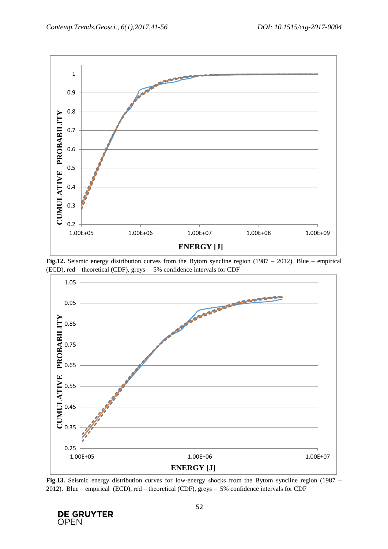

**Fig.12.** Seismic energy distribution curves from the Bytom syncline region (1987 – 2012). Blue – empirical (ECD), red – theoretical (CDF), greys – 5% confidence intervals for CDF



**Fig.13.** Seismic energy distribution curves for low-energy shocks from the Bytom syncline region (1987 – 2012). Blue – empirical (ECD), red – theoretical (CDF), greys – 5% confidence intervals for CDF

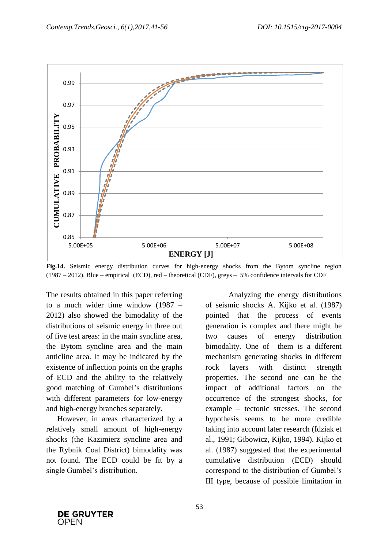

**Fig.14.** Seismic energy distribution curves for high-energy shocks from the Bytom syncline region (1987 – 2012). Blue – empirical (ECD), red – theoretical (CDF), greys – 5% confidence intervals for CDF

The results obtained in this paper referring to a much wider time window (1987 – 2012) also showed the bimodality of the distributions of seismic energy in three out of five test areas: in the main syncline area, the Bytom syncline area and the main anticline area. It may be indicated by the existence of inflection points on the graphs of ECD and the ability to the relatively good matching of Gumbel's distributions with different parameters for low-energy and high-energy branches separately.

However, in areas characterized by a relatively small amount of high-energy shocks (the Kazimierz syncline area and the Rybnik Coal District) bimodality was not found. The ECD could be fit by a single Gumbel's distribution.

Analyzing the energy distributions of seismic shocks A. Kijko et al. (1987) pointed that the process of events generation is complex and there might be two causes of energy distribution bimodality. One of them is a different mechanism generating shocks in different rock layers with distinct strength properties. The second one can be the impact of additional factors on the occurrence of the strongest shocks, for example – tectonic stresses. The second hypothesis seems to be more credible taking into account later research (Idziak et al., 1991; Gibowicz, Kijko, 1994). Kijko et al. (1987) suggested that the experimental cumulative distribution (ECD) should correspond to the distribution of Gumbel's III type, because of possible limitation in

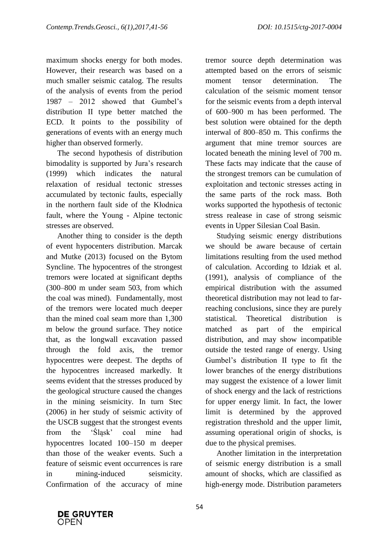maximum shocks energy for both modes. However, their research was based on a much smaller seismic catalog. The results of the analysis of events from the period 1987 – 2012 showed that Gumbel's distribution II type better matched the ECD. It points to the possibility of generations of events with an energy much higher than observed formerly.

The second hypothesis of distribution bimodality is supported by Jura's research (1999) which indicates the natural relaxation of residual tectonic stresses accumulated by tectonic faults, especially in the northern fault side of the Kłodnica fault, where the Young - Alpine tectonic stresses are observed.

Another thing to consider is the depth of event hypocenters distribution. Marcak and Mutke (2013) focused on the Bytom Syncline. The hypocentres of the strongest tremors were located at significant depths (300–800 m under seam 503, from which the coal was mined). Fundamentally, most of the tremors were located much deeper than the mined coal seam more than 1,300 m below the ground surface. They notice that, as the longwall excavation passed through the fold axis, the tremor hypocentres were deepest. The depths of the hypocentres increased markedly. It seems evident that the stresses produced by the geological structure caused the changes in the mining seismicity. In turn Stec (2006) in her study of seismic activity of the USCB suggest that the strongest events from the 'Śląsk' coal mine had hypocentres located 100–150 m deeper than those of the weaker events. Such a feature of seismic event occurrences is rare in mining-induced seismicity. Confirmation of the accuracy of mine

tremor source depth determination was attempted based on the errors of seismic moment tensor determination. The calculation of the seismic moment tensor for the seismic events from a depth interval of 600–900 m has been performed. The best solution were obtained for the depth interwal of 800–850 m. This confirms the argument that mine tremor sources are located beneath the mining level of 700 m. These facts may indicate that the cause of the strongest tremors can be cumulation of exploitation and tectonic stresses acting in the same parts of the rock mass. Both works supported the hypothesis of tectonic stress realease in case of strong seismic events in Upper Silesian Coal Basin.

Studying seismic energy distributions we should be aware because of certain limitations resulting from the used method of calculation. According to Idziak et al. (1991), analysis of compliance of the empirical distribution with the assumed theoretical distribution may not lead to farreaching conclusions, since they are purely statistical. Theoretical distribution is matched as part of the empirical distribution, and may show incompatible outside the tested range of energy. Using Gumbel's distribution II type to fit the lower branches of the energy distributions may suggest the existence of a lower limit of shock energy and the lack of restrictions for upper energy limit. In fact, the lower limit is determined by the approved registration threshold and the upper limit, assuming operational origin of shocks, is due to the physical premises.

Another limitation in the interpretation of seismic energy distribution is a small amount of shocks, which are classified as high-energy mode. Distribution parameters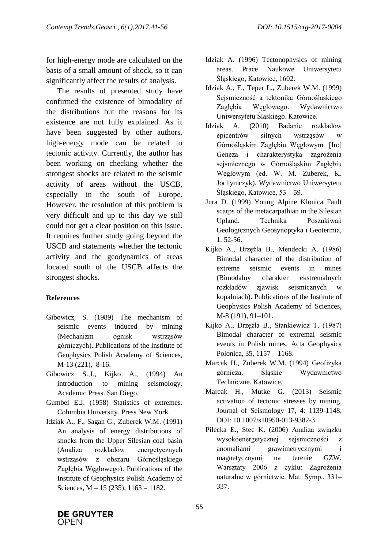for high-energy mode are calculated on the basis of a small amount of shock, so it can significantly affect the results of analysis.

The results of presented study have confirmed the existence of bimodality of the distributions but the reasons for its existence are not fully explained. As it have been suggested by other authors, high-energy mode can be related to tectonic activity. Currently, the author has been working on checking whether the strongest shocks are related to the seismic activity of areas without the USCB, especially in the south of Europe. However, the resolution of this problem is very difficult and up to this day we still could not get a clear position on this issue. It requires further study going beyond the USCB and statements whether the tectonic activity and the geodynamics of areas located south of the USCB affects the strongest shocks.

## **References**

- Gibowicz, S. (1989) The mechanism of seismic events induced by mining (Mechanizm ognisk wstrząsów górniczych). Publications of the Institute of Geophysics Polish Academy of Sciences, M-13 (221), 8-16.
- Gibowicz S.,J., Kijko A., (1994) An introduction to mining seismology. Academic Press. San Diego.
- Gumbel E.J. (1958) Statistics of extremes. Columbia University. Press New York.
- Idziak A., F., Sagan G., Zuberek W.M. (1991) An analysis of energy distributions of shocks from the Upper Silesian coal basin (Analiza rozkładów energetycznych wstrząsów z obszaru Górnośląskiego Zagłębia Węglowego). Publications of the Institute of Geophysics Polish Academy of Sciences, M – 15 (235), 1163 – 1182.
- Idziak A. (1996) Tectonophysics of mining areas. Prace Naukowe Uniwersytetu Śląskiego, Katowice, 1602.
- Idziak A., F., Teper L., Zuberek W.M. (1999) Sejsmiczność a tektonika Górnośląskiego Zagłębia Węglowego. Wydawnictwo Uniwersytetu Śląskiego. Katowice.
- Idziak A. (2010) Badanie rozkładów epicentrów silnych wstrząsów w Górnośląskim Zagłębiu Węglowym. [In:] Geneza i charakterystyka zagrożenia sejsmicznego w Górnośląskim Zagłębiu Węglowym (ed. W. M. Zuberek, K. Jochymczyk). Wydawnictwo Uniwersytetu Śląskiego, Katowice, 53 – 59.
- Jura D. (1999) Young Alpine Klonica Fault scarps of the metacarpathian in the Silesian Upland. Technika Poszukiwań Geologicznych Geosynoptyka i Geotermia, 1, 52-56.
- Kijko A., Drzęźla B., Mendecki A. (1986) Bimodal character of the distribution of extreme seismic events in mines (Bimodalny charakter ekstremalnych rozkładów zjawisk sejsmicznych w kopalniach). Publications of the Institute of Geophysics Polish Academy of Sciences, M-8 (191), 91–101.
- Kijko A., Drzęźla B., Stankiewicz T. (1987) Bimodal character of extremal seismic events in Polish mines. Acta Geophysica Polonica, 35, 1157 – 1168.
- Marcak H., Zuberek W.M. (1994) Geofizyka górnicza. Śląskie Wydawnictwo Techniczne. Katowice.
- Marcak H., Mutke G. (2013) Seismic activation of tectonic stresses by mining. Journal of Seismology 17, 4: 1139-1148, DOI: 10.1007/s10950-013-9382-3
- Pilecka E., Stec K. (2006) Analiza związku wysokoenergetycznej sejsmiczności z anomaliami grawimetrycznymi i magnetycznymi na terenie GZW. Warsztaty 2006 z cyklu: Zagrożenia naturalne w górnictwie. Mat. Symp., 331– 337.